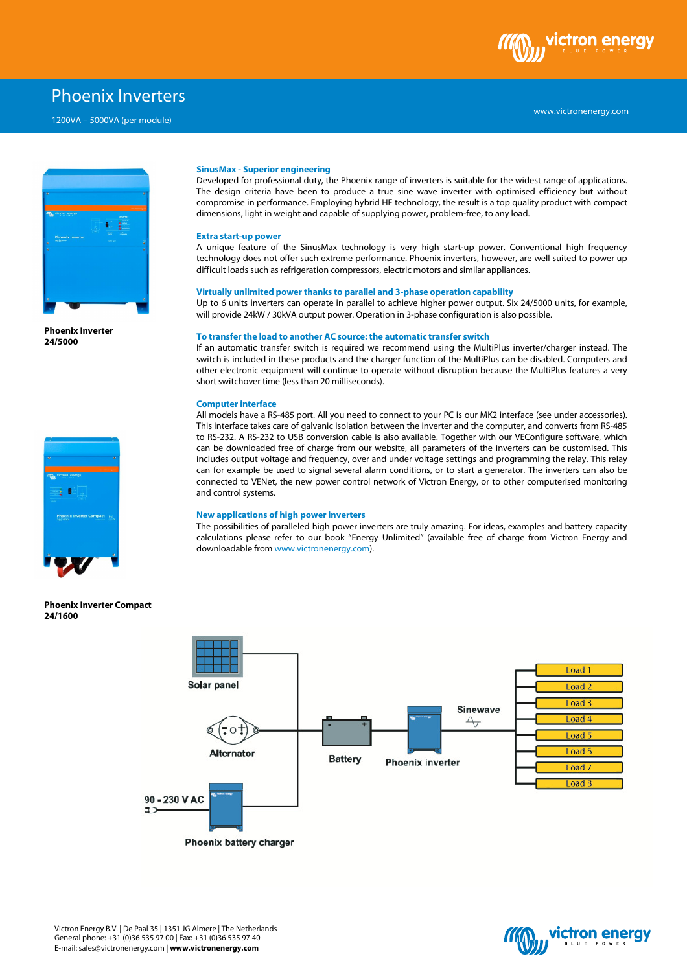

# Phoenix Inverters

1200VA – 5000VA (per module)



**Phoenix Inverter 24/5000**



**Phoenix Inverter Compact 24/1600**

### **SinusMax - Superior engineering**

Developed for professional duty, the Phoenix range of inverters is suitable for the widest range of applications. The design criteria have been to produce a true sine wave inverter with optimised efficiency but without compromise in performance. Employing hybrid HF technology, the result is a top quality product with compact dimensions, light in weight and capable of supplying power, problem-free, to any load.

#### **Extra start-up power**

A unique feature of the SinusMax technology is very high start-up power. Conventional high frequency technology does not offer such extreme performance. Phoenix inverters, however, are well suited to power up difficult loads such as refrigeration compressors, electric motors and similar appliances.

#### **Virtually unlimited power thanks to parallel and 3-phase operation capability**

Up to 6 units inverters can operate in parallel to achieve higher power output. Six 24/5000 units, for example, will provide 24kW / 30kVA output power. Operation in 3-phase configuration is also possible.

#### **To transfer the load to another AC source: the automatic transfer switch**

If an automatic transfer switch is required we recommend using the MultiPlus inverter/charger instead. The switch is included in these products and the charger function of the MultiPlus can be disabled. Computers and other electronic equipment will continue to operate without disruption because the MultiPlus features a very short switchover time (less than 20 milliseconds).

#### **Computer interface**

All models have a RS-485 port. All you need to connect to your PC is our MK2 interface (see under accessories). This interface takes care of galvanic isolation between the inverter and the computer, and converts from RS-485 to RS-232. A RS-232 to USB conversion cable is also available. Together with our VEConfigure software, which can be downloaded free of charge from our website, all parameters of the inverters can be customised. This includes output voltage and frequency, over and under voltage settings and programming the relay. This relay can for example be used to signal several alarm conditions, or to start a generator. The inverters can also be connected to VENet, the new power control network of Victron Energy, or to other computerised monitoring and control systems.

#### **New applications of high power inverters**

The possibilities of paralleled high power inverters are truly amazing. For ideas, examples and battery capacity calculations please refer to our book "Energy Unlimited" (available free of charge from Victron Energy and downloadable from www.victronenergy.com).



Victron Energy B.V. | De Paal 35 | 1351 JG Almere | The Netherlands General phone: +31 (0)36 535 97 00 | Fax: +31 (0)36 535 97 40 E-mail: sales@victronenergy.com | **www.victronenergy.com**